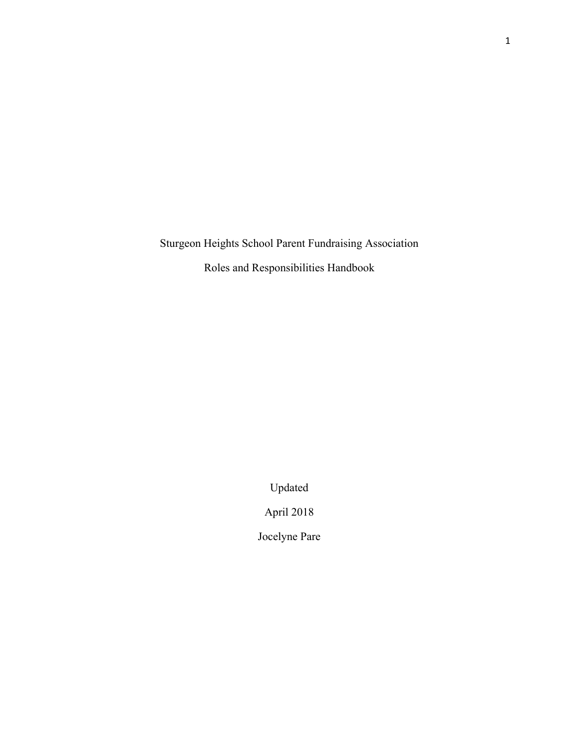Sturgeon Heights School Parent Fundraising Association

Roles and Responsibilities Handbook

Updated

April 2018

Jocelyne Pare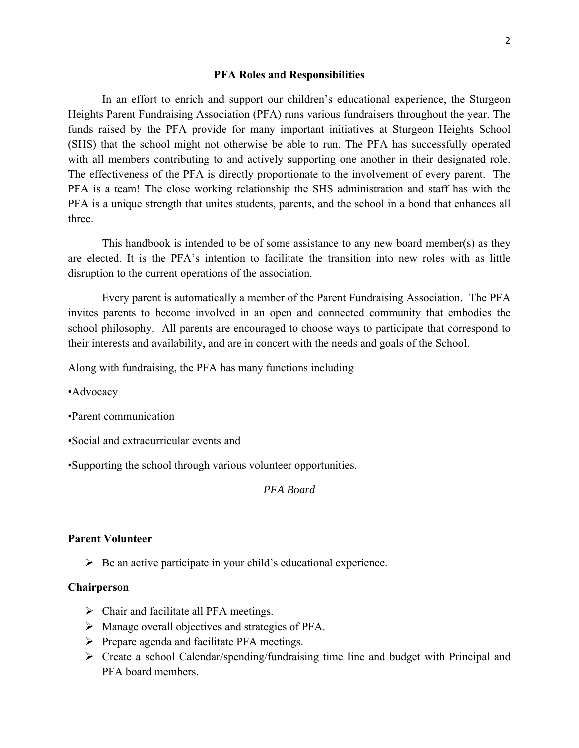#### **PFA Roles and Responsibilities**

 In an effort to enrich and support our children's educational experience, the Sturgeon Heights Parent Fundraising Association (PFA) runs various fundraisers throughout the year. The funds raised by the PFA provide for many important initiatives at Sturgeon Heights School (SHS) that the school might not otherwise be able to run. The PFA has successfully operated with all members contributing to and actively supporting one another in their designated role. The effectiveness of the PFA is directly proportionate to the involvement of every parent. The PFA is a team! The close working relationship the SHS administration and staff has with the PFA is a unique strength that unites students, parents, and the school in a bond that enhances all three.

This handbook is intended to be of some assistance to any new board member(s) as they are elected. It is the PFA's intention to facilitate the transition into new roles with as little disruption to the current operations of the association.

Every parent is automatically a member of the Parent Fundraising Association. The PFA invites parents to become involved in an open and connected community that embodies the school philosophy. All parents are encouraged to choose ways to participate that correspond to their interests and availability, and are in concert with the needs and goals of the School.

Along with fundraising, the PFA has many functions including

•Advocacy

- •Parent communication
- •Social and extracurricular events and

•Supporting the school through various volunteer opportunities.

### *PFA Board*

### **Parent Volunteer**

 $\triangleright$  Be an active participate in your child's educational experience.

## **Chairperson**

- $\triangleright$  Chair and facilitate all PFA meetings.
- $\triangleright$  Manage overall objectives and strategies of PFA.
- $\triangleright$  Prepare agenda and facilitate PFA meetings.
- $\triangleright$  Create a school Calendar/spending/fundraising time line and budget with Principal and PFA board members.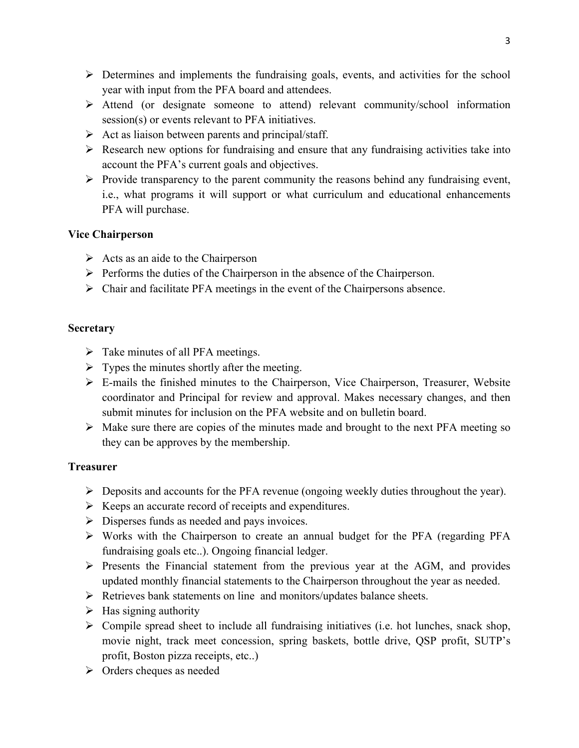- $\triangleright$  Determines and implements the fundraising goals, events, and activities for the school year with input from the PFA board and attendees.
- Attend (or designate someone to attend) relevant community/school information session(s) or events relevant to PFA initiatives.
- $\triangleright$  Act as liaison between parents and principal/staff.
- $\triangleright$  Research new options for fundraising and ensure that any fundraising activities take into account the PFA's current goals and objectives.
- $\triangleright$  Provide transparency to the parent community the reasons behind any fundraising event, i.e., what programs it will support or what curriculum and educational enhancements PFA will purchase.

# **Vice Chairperson**

- $\triangleright$  Acts as an aide to the Chairperson
- $\triangleright$  Performs the duties of the Chairperson in the absence of the Chairperson.
- $\triangleright$  Chair and facilitate PFA meetings in the event of the Chairpersons absence.

# **Secretary**

- $\triangleright$  Take minutes of all PFA meetings.
- $\triangleright$  Types the minutes shortly after the meeting.
- E-mails the finished minutes to the Chairperson, Vice Chairperson, Treasurer, Website coordinator and Principal for review and approval. Makes necessary changes, and then submit minutes for inclusion on the PFA website and on bulletin board.
- $\triangleright$  Make sure there are copies of the minutes made and brought to the next PFA meeting so they can be approves by the membership.

# **Treasurer**

- Deposits and accounts for the PFA revenue (ongoing weekly duties throughout the year).
- $\triangleright$  Keeps an accurate record of receipts and expenditures.
- $\triangleright$  Disperses funds as needed and pays invoices.
- Works with the Chairperson to create an annual budget for the PFA (regarding PFA fundraising goals etc..). Ongoing financial ledger.
- $\triangleright$  Presents the Financial statement from the previous year at the AGM, and provides updated monthly financial statements to the Chairperson throughout the year as needed.
- $\triangleright$  Retrieves bank statements on line and monitors/updates balance sheets.
- $\triangleright$  Has signing authority
- $\triangleright$  Compile spread sheet to include all fundraising initiatives (i.e. hot lunches, snack shop, movie night, track meet concession, spring baskets, bottle drive, QSP profit, SUTP's profit, Boston pizza receipts, etc..)
- Orders cheques as needed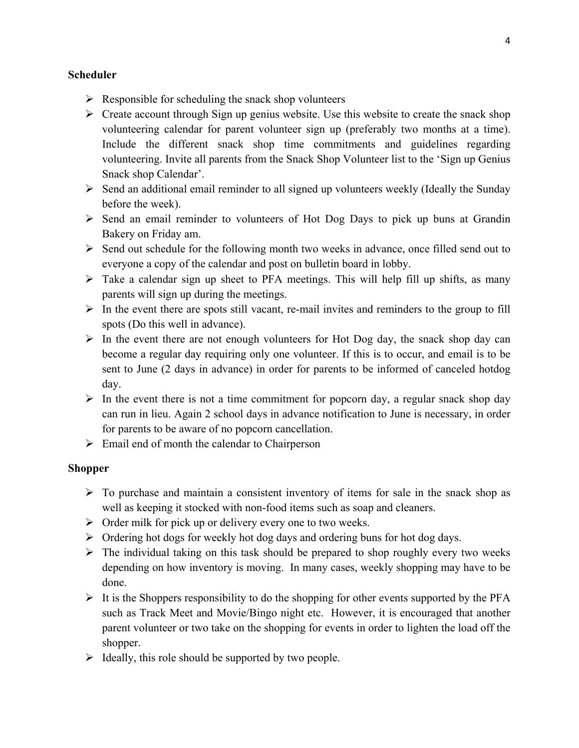## **Scheduler**

- $\triangleright$  Responsible for scheduling the snack shop volunteers
- $\triangleright$  Create account through Sign up genius website. Use this website to create the snack shop volunteering calendar for parent volunteer sign up (preferably two months at a time). Include the different snack shop time commitments and guidelines regarding volunteering. Invite all parents from the Snack Shop Volunteer list to the 'Sign up Genius Snack shop Calendar'.
- $\triangleright$  Send an additional email reminder to all signed up volunteers weekly (Ideally the Sunday before the week).
- $\triangleright$  Send an email reminder to volunteers of Hot Dog Days to pick up buns at Grandin Bakery on Friday am.
- $\triangleright$  Send out schedule for the following month two weeks in advance, once filled send out to everyone a copy of the calendar and post on bulletin board in lobby.
- $\triangleright$  Take a calendar sign up sheet to PFA meetings. This will help fill up shifts, as many parents will sign up during the meetings.
- $\triangleright$  In the event there are spots still vacant, re-mail invites and reminders to the group to fill spots (Do this well in advance).
- $\triangleright$  In the event there are not enough volunteers for Hot Dog day, the snack shop day can become a regular day requiring only one volunteer. If this is to occur, and email is to be sent to June (2 days in advance) in order for parents to be informed of canceled hotdog day.
- $\triangleright$  In the event there is not a time commitment for popcorn day, a regular snack shop day can run in lieu. Again 2 school days in advance notification to June is necessary, in order for parents to be aware of no popcorn cancellation.
- $\triangleright$  Email end of month the calendar to Chairperson

## **Shopper**

- $\triangleright$  To purchase and maintain a consistent inventory of items for sale in the snack shop as well as keeping it stocked with non-food items such as soap and cleaners.
- $\triangleright$  Order milk for pick up or delivery every one to two weeks.
- $\triangleright$  Ordering hot dogs for weekly hot dog days and ordering buns for hot dog days.
- $\triangleright$  The individual taking on this task should be prepared to shop roughly every two weeks depending on how inventory is moving. In many cases, weekly shopping may have to be done.
- $\triangleright$  It is the Shoppers responsibility to do the shopping for other events supported by the PFA such as Track Meet and Movie/Bingo night etc. However, it is encouraged that another parent volunteer or two take on the shopping for events in order to lighten the load off the shopper.
- $\triangleright$  Ideally, this role should be supported by two people.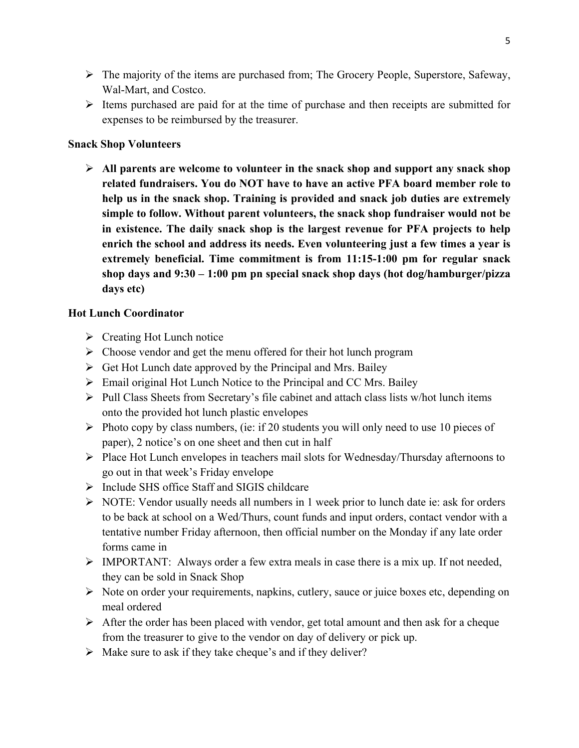- $\triangleright$  The majority of the items are purchased from; The Grocery People, Superstore, Safeway, Wal-Mart, and Costco.
- $\triangleright$  Items purchased are paid for at the time of purchase and then receipts are submitted for expenses to be reimbursed by the treasurer.

# **Snack Shop Volunteers**

 **All parents are welcome to volunteer in the snack shop and support any snack shop related fundraisers. You do NOT have to have an active PFA board member role to help us in the snack shop. Training is provided and snack job duties are extremely simple to follow. Without parent volunteers, the snack shop fundraiser would not be in existence. The daily snack shop is the largest revenue for PFA projects to help enrich the school and address its needs. Even volunteering just a few times a year is extremely beneficial. Time commitment is from 11:15-1:00 pm for regular snack shop days and 9:30 – 1:00 pm pn special snack shop days (hot dog/hamburger/pizza days etc)** 

## **Hot Lunch Coordinator**

- $\triangleright$  Creating Hot Lunch notice
- $\triangleright$  Choose vendor and get the menu offered for their hot lunch program
- $\triangleright$  Get Hot Lunch date approved by the Principal and Mrs. Bailey
- $\triangleright$  Email original Hot Lunch Notice to the Principal and CC Mrs. Bailey
- $\triangleright$  Pull Class Sheets from Secretary's file cabinet and attach class lists w/hot lunch items onto the provided hot lunch plastic envelopes
- $\triangleright$  Photo copy by class numbers, (ie: if 20 students you will only need to use 10 pieces of paper), 2 notice's on one sheet and then cut in half
- $\triangleright$  Place Hot Lunch envelopes in teachers mail slots for Wednesday/Thursday afternoons to go out in that week's Friday envelope
- $\triangleright$  Include SHS office Staff and SIGIS childcare
- $\triangleright$  NOTE: Vendor usually needs all numbers in 1 week prior to lunch date ie: ask for orders to be back at school on a Wed/Thurs, count funds and input orders, contact vendor with a tentative number Friday afternoon, then official number on the Monday if any late order forms came in
- $\triangleright$  IMPORTANT: Always order a few extra meals in case there is a mix up. If not needed, they can be sold in Snack Shop
- S Note on order your requirements, napkins, cutlery, sauce or juice boxes etc, depending on meal ordered
- $\triangleright$  After the order has been placed with vendor, get total amount and then ask for a cheque from the treasurer to give to the vendor on day of delivery or pick up.
- $\triangleright$  Make sure to ask if they take cheque's and if they deliver?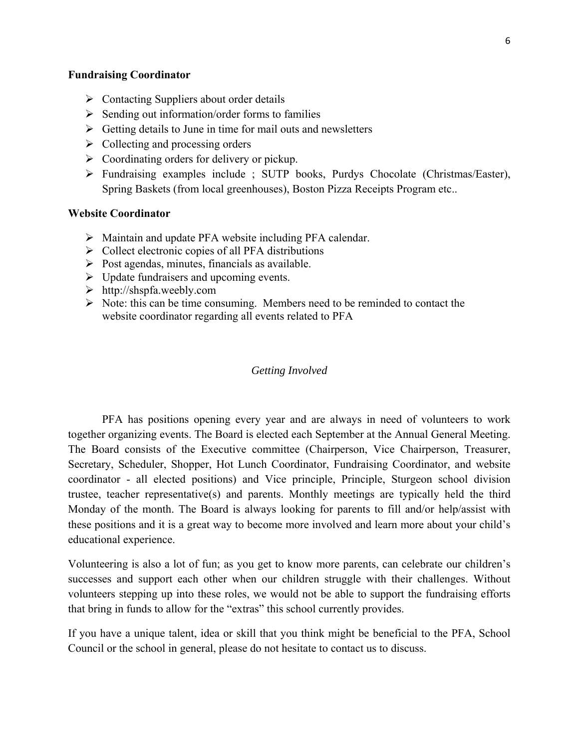## **Fundraising Coordinator**

- $\triangleright$  Contacting Suppliers about order details
- $\triangleright$  Sending out information/order forms to families
- $\triangleright$  Getting details to June in time for mail outs and newsletters
- $\triangleright$  Collecting and processing orders
- $\triangleright$  Coordinating orders for delivery or pickup.
- Fundraising examples include ; SUTP books, Purdys Chocolate (Christmas/Easter), Spring Baskets (from local greenhouses), Boston Pizza Receipts Program etc..

### **Website Coordinator**

- Maintain and update PFA website including PFA calendar.
- $\triangleright$  Collect electronic copies of all PFA distributions
- $\triangleright$  Post agendas, minutes, financials as available.
- $\triangleright$  Update fundraisers and upcoming events.
- $\triangleright$  http://shspfa.weebly.com
- $\triangleright$  Note: this can be time consuming. Members need to be reminded to contact the website coordinator regarding all events related to PFA

### *Getting Involved*

PFA has positions opening every year and are always in need of volunteers to work together organizing events. The Board is elected each September at the Annual General Meeting. The Board consists of the Executive committee (Chairperson, Vice Chairperson, Treasurer, Secretary, Scheduler, Shopper, Hot Lunch Coordinator, Fundraising Coordinator, and website coordinator - all elected positions) and Vice principle, Principle, Sturgeon school division trustee, teacher representative(s) and parents. Monthly meetings are typically held the third Monday of the month. The Board is always looking for parents to fill and/or help/assist with these positions and it is a great way to become more involved and learn more about your child's educational experience.

Volunteering is also a lot of fun; as you get to know more parents, can celebrate our children's successes and support each other when our children struggle with their challenges. Without volunteers stepping up into these roles, we would not be able to support the fundraising efforts that bring in funds to allow for the "extras" this school currently provides.

If you have a unique talent, idea or skill that you think might be beneficial to the PFA, School Council or the school in general, please do not hesitate to contact us to discuss.